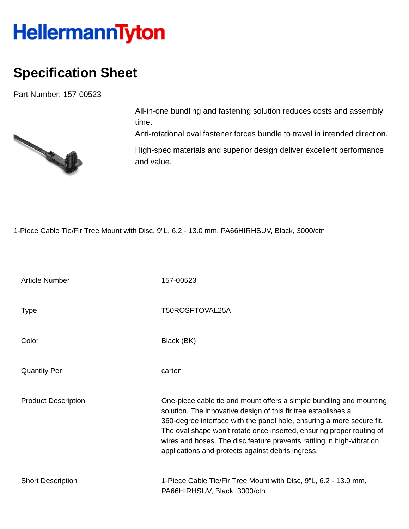## HellermannTyton

## **Specification Sheet**

Part Number: 157-00523



All-in-one bundling and fastening solution reduces costs and assembly time.

Anti-rotational oval fastener forces bundle to travel in intended direction.

High-spec materials and superior design deliver excellent performance and value.

1-Piece Cable Tie/Fir Tree Mount with Disc, 9"L, 6.2 - 13.0 mm, PA66HIRHSUV, Black, 3000/ctn

| <b>Article Number</b>      | 157-00523                                                                                                                                                                                                                                                                                                                                                                                                             |
|----------------------------|-----------------------------------------------------------------------------------------------------------------------------------------------------------------------------------------------------------------------------------------------------------------------------------------------------------------------------------------------------------------------------------------------------------------------|
| Type                       | T50ROSFTOVAL25A                                                                                                                                                                                                                                                                                                                                                                                                       |
| Color                      | Black (BK)                                                                                                                                                                                                                                                                                                                                                                                                            |
| <b>Quantity Per</b>        | carton                                                                                                                                                                                                                                                                                                                                                                                                                |
| <b>Product Description</b> | One-piece cable tie and mount offers a simple bundling and mounting<br>solution. The innovative design of this fir tree establishes a<br>360-degree interface with the panel hole, ensuring a more secure fit.<br>The oval shape won't rotate once inserted, ensuring proper routing of<br>wires and hoses. The disc feature prevents rattling in high-vibration<br>applications and protects against debris ingress. |
| <b>Short Description</b>   | 1-Piece Cable Tie/Fir Tree Mount with Disc, 9"L, 6.2 - 13.0 mm,<br>PA66HIRHSUV, Black, 3000/ctn                                                                                                                                                                                                                                                                                                                       |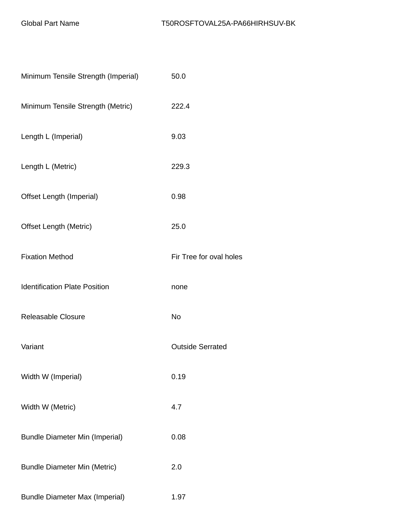| Minimum Tensile Strength (Imperial)   | 50.0                    |  |
|---------------------------------------|-------------------------|--|
| Minimum Tensile Strength (Metric)     | 222.4                   |  |
| Length L (Imperial)                   | 9.03                    |  |
| Length L (Metric)                     | 229.3                   |  |
| Offset Length (Imperial)              | 0.98                    |  |
| <b>Offset Length (Metric)</b>         | 25.0                    |  |
| <b>Fixation Method</b>                | Fir Tree for oval holes |  |
| <b>Identification Plate Position</b>  | none                    |  |
| Releasable Closure                    | <b>No</b>               |  |
| Variant                               | <b>Outside Serrated</b> |  |
| Width W (Imperial)                    | 0.19                    |  |
| Width W (Metric)                      | 4.7                     |  |
| <b>Bundle Diameter Min (Imperial)</b> | 0.08                    |  |
| <b>Bundle Diameter Min (Metric)</b>   | 2.0                     |  |
| <b>Bundle Diameter Max (Imperial)</b> | 1.97                    |  |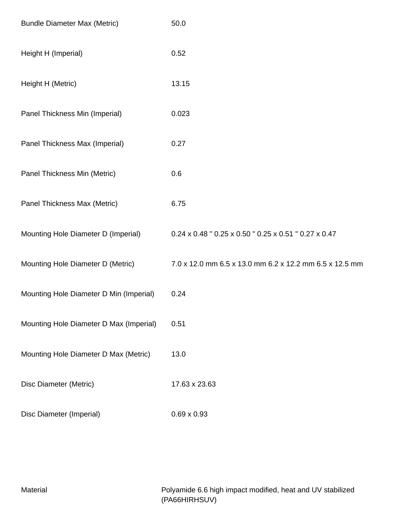| <b>Bundle Diameter Max (Metric)</b>     | 50.0                                                    |
|-----------------------------------------|---------------------------------------------------------|
| Height H (Imperial)                     | 0.52                                                    |
| Height H (Metric)                       | 13.15                                                   |
| Panel Thickness Min (Imperial)          | 0.023                                                   |
| Panel Thickness Max (Imperial)          | 0.27                                                    |
| Panel Thickness Min (Metric)            | 0.6                                                     |
| Panel Thickness Max (Metric)            | 6.75                                                    |
| Mounting Hole Diameter D (Imperial)     | 0.24 x 0.48 " 0.25 x 0.50 " 0.25 x 0.51 " 0.27 x 0.47   |
| Mounting Hole Diameter D (Metric)       | 7.0 x 12.0 mm 6.5 x 13.0 mm 6.2 x 12.2 mm 6.5 x 12.5 mm |
| Mounting Hole Diameter D Min (Imperial) | 0.24                                                    |
| Mounting Hole Diameter D Max (Imperial) | 0.51                                                    |
| Mounting Hole Diameter D Max (Metric)   | 13.0                                                    |
| Disc Diameter (Metric)                  | 17.63 x 23.63                                           |
| Disc Diameter (Imperial)                | $0.69 \times 0.93$                                      |